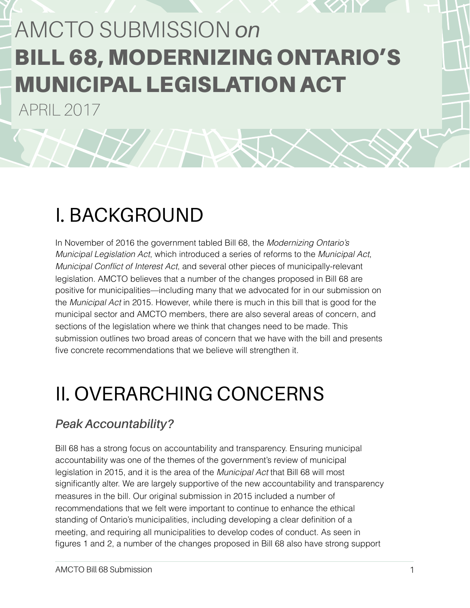# AMCTO SUBMISSION *on*  BILL 68, MODERNIZING ONTARIO'S MUNICIPAL LEGISLATION ACT

APRIL 2017

## I. BACKGROUND

In November of 2016 the government tabled Bill 68, the *Modernizing Ontario's Municipal Legislation Act*, which introduced a series of reforms to the *Municipal Act*, *Municipal Conflict of Interest Act*, and several other pieces of municipally-relevant legislation. AMCTO believes that a number of the changes proposed in Bill 68 are positive for municipalities—including many that we advocated for in our submission on the *Municipal Act* in 2015. However, while there is much in this bill that is good for the municipal sector and AMCTO members, there are also several areas of concern, and sections of the legislation where we think that changes need to be made. This submission outlines two broad areas of concern that we have with the bill and presents five concrete recommendations that we believe will strengthen it.

## II. OVERARCHING CONCERNS

## *Peak Accountability?*

Bill 68 has a strong focus on accountability and transparency. Ensuring municipal accountability was one of the themes of the government's review of municipal legislation in 2015, and it is the area of the *Municipal Act* that Bill 68 will most significantly alter. We are largely supportive of the new accountability and transparency measures in the bill. Our original submission in 2015 included a number of recommendations that we felt were important to continue to enhance the ethical standing of Ontario's municipalities, including developing a clear definition of a meeting, and requiring all municipalities to develop codes of conduct. As seen in figures 1 and 2, a number of the changes proposed in Bill 68 also have strong support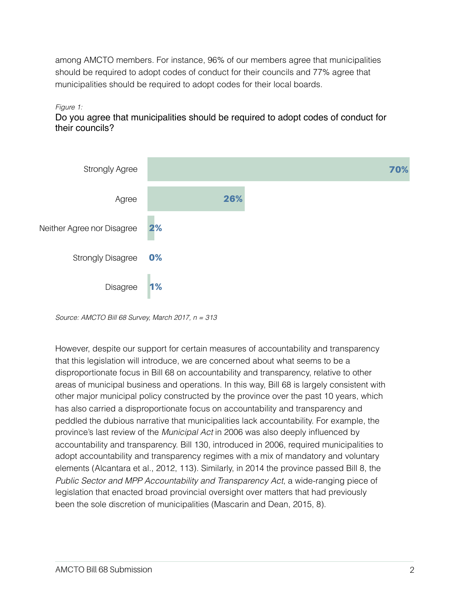among AMCTO members. For instance, 96% of our members agree that municipalities should be required to adopt codes of conduct for their councils and 77% agree that municipalities should be required to adopt codes for their local boards.

#### *Figure 1:*

Do you agree that municipalities should be required to adopt codes of conduct for their councils?



*Source: AMCTO Bill 68 Survey, March 2017, n = 313* 

However, despite our support for certain measures of accountability and transparency that this legislation will introduce, we are concerned about what seems to be a disproportionate focus in Bill 68 on accountability and transparency, relative to other areas of municipal business and operations. In this way, Bill 68 is largely consistent with other major municipal policy constructed by the province over the past 10 years, which has also carried a disproportionate focus on accountability and transparency and peddled the dubious narrative that municipalities lack accountability. For example, the province's last review of the *Municipal Act* in 2006 was also deeply influenced by accountability and transparency. Bill 130, introduced in 2006, required municipalities to adopt accountability and transparency regimes with a mix of mandatory and voluntary elements (Alcantara et al., 2012, 113). Similarly, in 2014 the province passed Bill 8, the *Public Sector and MPP Accountability and Transparency Act*, a wide-ranging piece of legislation that enacted broad provincial oversight over matters that had previously been the sole discretion of municipalities (Mascarin and Dean, 2015, 8).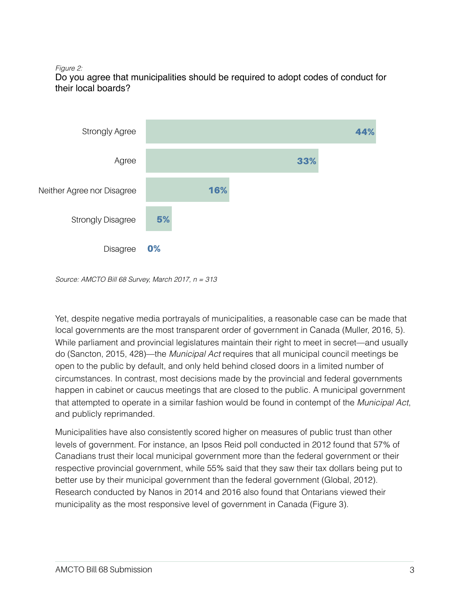#### *Figure 2:*

Do you agree that municipalities should be required to adopt codes of conduct for their local boards?



*Source: AMCTO Bill 68 Survey, March 2017, n = 313* 

Yet, despite negative media portrayals of municipalities, a reasonable case can be made that local governments are the most transparent order of government in Canada (Muller, 2016, 5). While parliament and provincial legislatures maintain their right to meet in secret—and usually do (Sancton, 2015, 428)—the *Municipal Act* requires that all municipal council meetings be open to the public by default, and only held behind closed doors in a limited number of circumstances. In contrast, most decisions made by the provincial and federal governments happen in cabinet or caucus meetings that are closed to the public. A municipal government that attempted to operate in a similar fashion would be found in contempt of the *Municipal Act*, and publicly reprimanded.

Municipalities have also consistently scored higher on measures of public trust than other levels of government. For instance, an Ipsos Reid poll conducted in 2012 found that 57% of Canadians trust their local municipal government more than the federal government or their respective provincial government, while 55% said that they saw their tax dollars being put to better use by their municipal government than the federal government (Global, 2012). Research conducted by Nanos in 2014 and 2016 also found that Ontarians viewed their municipality as the most responsive level of government in Canada (Figure 3).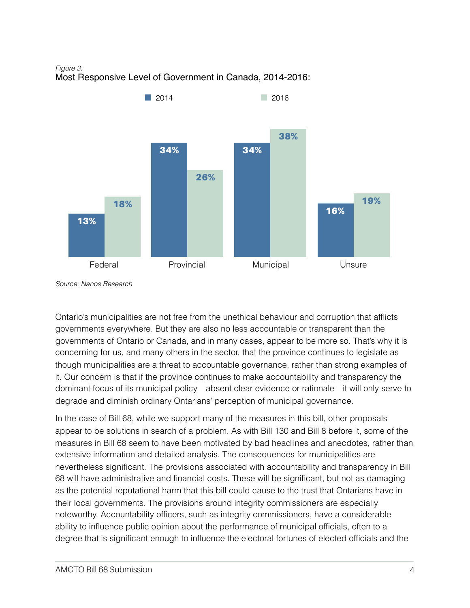*Figure 3:*  Most Responsive Level of Government in Canada, 2014-2016:



*Source: Nanos Research* 

Ontario's municipalities are not free from the unethical behaviour and corruption that afflicts governments everywhere. But they are also no less accountable or transparent than the governments of Ontario or Canada, and in many cases, appear to be more so. That's why it is concerning for us, and many others in the sector, that the province continues to legislate as though municipalities are a threat to accountable governance, rather than strong examples of it. Our concern is that if the province continues to make accountability and transparency the dominant focus of its municipal policy—absent clear evidence or rationale—it will only serve to degrade and diminish ordinary Ontarians' perception of municipal governance.

In the case of Bill 68, while we support many of the measures in this bill, other proposals appear to be solutions in search of a problem. As with Bill 130 and Bill 8 before it, some of the measures in Bill 68 seem to have been motivated by bad headlines and anecdotes, rather than extensive information and detailed analysis. The consequences for municipalities are nevertheless significant. The provisions associated with accountability and transparency in Bill 68 will have administrative and financial costs. These will be significant, but not as damaging as the potential reputational harm that this bill could cause to the trust that Ontarians have in their local governments. The provisions around integrity commissioners are especially noteworthy. Accountability officers, such as integrity commissioners, have a considerable ability to influence public opinion about the performance of municipal officials, often to a degree that is significant enough to influence the electoral fortunes of elected officials and the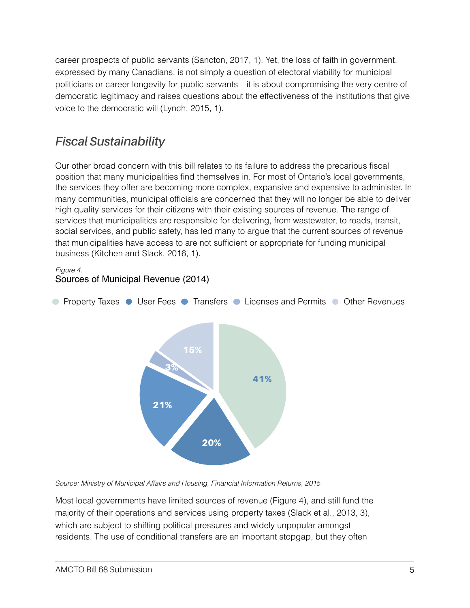career prospects of public servants (Sancton, 2017, 1). Yet, the loss of faith in government, expressed by many Canadians, is not simply a question of electoral viability for municipal politicians or career longevity for public servants—it is about compromising the very centre of democratic legitimacy and raises questions about the effectiveness of the institutions that give voice to the democratic will (Lynch, 2015, 1).

## *Fiscal Sustainability*

Our other broad concern with this bill relates to its failure to address the precarious fiscal position that many municipalities find themselves in. For most of Ontario's local governments, the services they offer are becoming more complex, expansive and expensive to administer. In many communities, municipal officials are concerned that they will no longer be able to deliver high quality services for their citizens with their existing sources of revenue. The range of services that municipalities are responsible for delivering, from wastewater, to roads, transit, social services, and public safety, has led many to argue that the current sources of revenue that municipalities have access to are not sufficient or appropriate for funding municipal business (Kitchen and Slack, 2016, 1).

*Figure 4:*  Sources of Municipal Revenue (2014)



*Source: Ministry of Municipal Affairs and Housing, Financial Information Returns, 2015* 

Most local governments have limited sources of revenue (Figure 4), and still fund the majority of their operations and services using property taxes (Slack et al., 2013, 3), which are subject to shifting political pressures and widely unpopular amongst residents. The use of conditional transfers are an important stopgap, but they often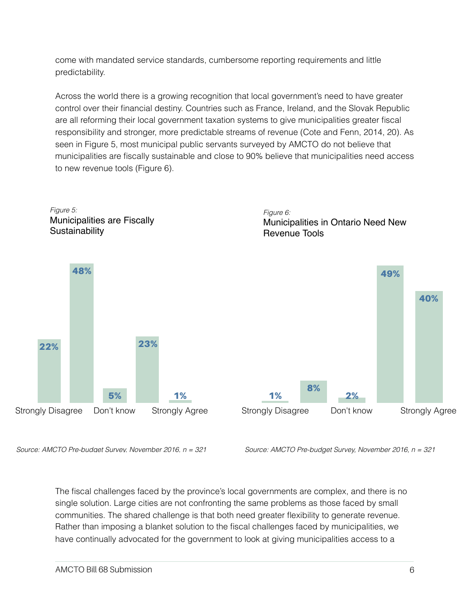come with mandated service standards, cumbersome reporting requirements and little predictability.

Across the world there is a growing recognition that local government's need to have greater control over their financial destiny. Countries such as France, Ireland, and the Slovak Republic are all reforming their local government taxation systems to give municipalities greater fiscal responsibility and stronger, more predictable streams of revenue (Cote and Fenn, 2014, 20). As seen in Figure 5, most municipal public servants surveyed by AMCTO do not believe that municipalities are fiscally sustainable and close to 90% believe that municipalities need access to new revenue tools (Figure 6).



*Source: AMCTO Pre-budget Survey, November 2016, n = 321*

*Source: AMCTO Pre-budget Survey, November 2016, n = 321*

The fiscal challenges faced by the province's local governments are complex, and there is no single solution. Large cities are not confronting the same problems as those faced by small communities. The shared challenge is that both need greater flexibility to generate revenue. Rather than imposing a blanket solution to the fiscal challenges faced by municipalities, we have continually advocated for the government to look at giving municipalities access to a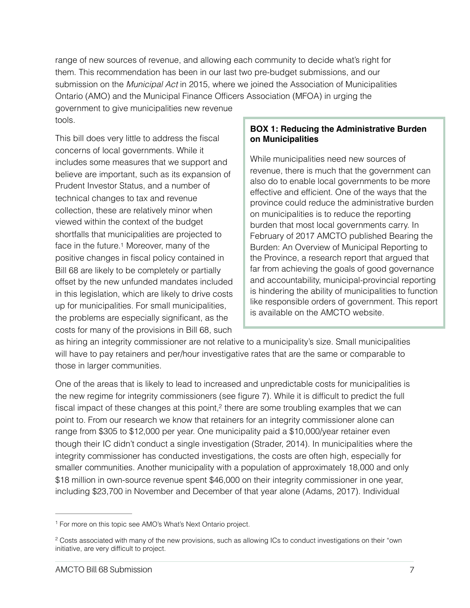range of new sources of revenue, and allowing each community to decide what's right for them. This recommendation has been in our last two pre-budget submissions, and our submission on the *Municipal Act* in 2015, where we joined the Association of Municipalities Ontario (AMO) and the Municipal Finance Officers Association (MFOA) in urging the government to give municipalities new revenue

tools.

This bill does very little to address the fiscal concerns of local governments. While it includes some measures that we support and believe are important, such as its expansion of Prudent Investor Status, and a number of technical changes to tax and revenue collection, these are relatively minor when viewed within the context of the budget shortfalls that municipalities are projected to face in the future[.1](#page-6-0) Moreover, many of the positive changes in fiscal policy contained in Bill 68 are likely to be completely or partially offset by the new unfunded mandates included in this legislation, which are likely to drive costs up for municipalities. For small municipalities, the problems are especially significant, as the costs for many of the provisions in Bill 68, such

#### **BOX 1: Reducing the Administrative Burden on Municipalities**

While municipalities need new sources of revenue, there is much that the government can also do to enable local governments to be more effective and efficient. One of the ways that the province could reduce the administrative burden on municipalities is to reduce the reporting burden that most local governments carry. In February of 2017 AMCTO published Bearing the Burden: An Overview of Municipal Reporting to the Province, a research report that argued that far from achieving the goals of good governance and accountability, municipal-provincial reporting is hindering the ability of municipalities to function like responsible orders of government. This report is available on the AMCTO website.

<span id="page-6-2"></span>as hiring an integrity commissioner are not relative to a municipality's size. Small municipalities will have to pay retainers and per/hour investigative rates that are the same or comparable to those in larger communities.

<span id="page-6-3"></span>One of the areas that is likely to lead to increased and unpredictable costs for municipalities is the new regime for integrity commissioners (see figure 7). While it is difficult to predict the full fiscal impact of these changes at this point[,](#page-6-1) $<sup>2</sup>$  $<sup>2</sup>$  $<sup>2</sup>$  there are some troubling examples that we can</sup> point to. From our research we know that retainers for an integrity commissioner alone can range from \$305 to \$12,000 per year. One municipality paid a \$10,000/year retainer even though their IC didn't conduct a single investigation (Strader, 2014). In municipalities where the integrity commissioner has conducted investigations, the costs are often high, especially for smaller communities. Another municipality with a population of approximately 18,000 and only \$18 million in own-source revenue spent \$46,000 on their integrity commissioner in one year, including \$23,700 in November and December of that year alone (Adams, 2017). Individual

<span id="page-6-0"></span><sup>&</sup>lt;sup>[1](#page-6-2)</sup> For more on this topic see AMO's What's Next Ontario project.

<span id="page-6-1"></span><sup>&</sup>lt;sup>[2](#page-6-3)</sup> Costs associated with many of the new provisions, such as allowing ICs to conduct investigations on their "own initiative, are very difficult to project.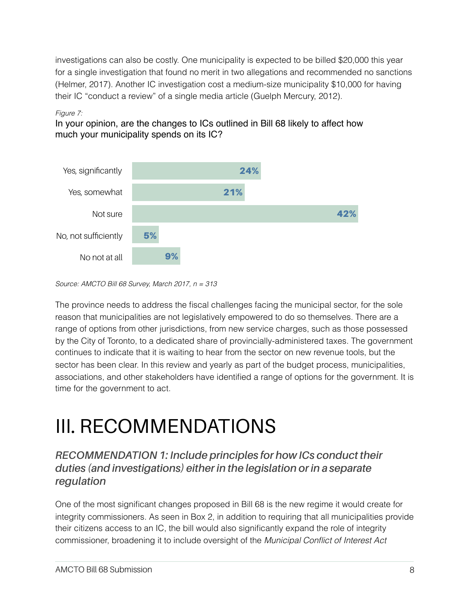investigations can also be costly. One municipality is expected to be billed \$20,000 this year for a single investigation that found no merit in two allegations and recommended no sanctions (Helmer, 2017). Another IC investigation cost a medium-size municipality \$10,000 for having their IC "conduct a review" of a single media article (Guelph Mercury, 2012).

#### *Figure 7:*

In your opinion, are the changes to ICs outlined in Bill 68 likely to affect how much your municipality spends on its IC?



*Source: AMCTO Bill 68 Survey, March 2017, n = 313* 

The province needs to address the fiscal challenges facing the municipal sector, for the sole reason that municipalities are not legislatively empowered to do so themselves. There are a range of options from other jurisdictions, from new service charges, such as those possessed by the City of Toronto, to a dedicated share of provincially-administered taxes. The government continues to indicate that it is waiting to hear from the sector on new revenue tools, but the sector has been clear. In this review and yearly as part of the budget process, municipalities, associations, and other stakeholders have identified a range of options for the government. It is time for the government to act.

## III. RECOMMENDATIONS

### *RECOMMENDATION 1: Include principles for how ICs conduct their duties (and investigations) either in the legislation or in a separate regulation*

One of the most significant changes proposed in Bill 68 is the new regime it would create for integrity commissioners. As seen in Box 2, in addition to requiring that all municipalities provide their citizens access to an IC, the bill would also significantly expand the role of integrity commissioner, broadening it to include oversight of the *Municipal Conflict of Interest Act*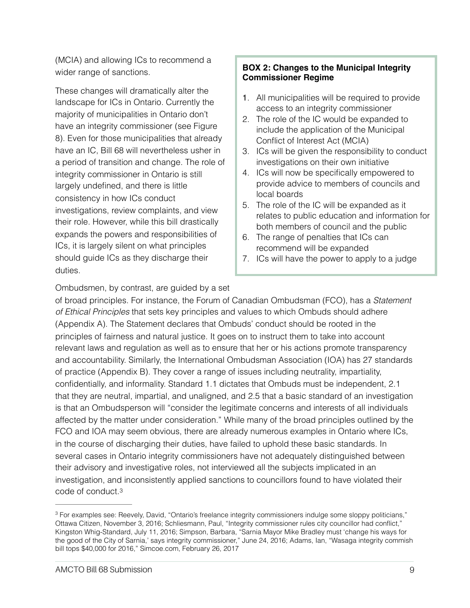(MCIA) and allowing ICs to recommend a wider range of sanctions.

These changes will dramatically alter the landscape for ICs in Ontario. Currently the majority of municipalities in Ontario don't have an integrity commissioner (see Figure 8). Even for those municipalities that already have an IC, Bill 68 will nevertheless usher in a period of transition and change. The role of integrity commissioner in Ontario is still largely undefined, and there is little consistency in how ICs conduct investigations, review complaints, and view their role. However, while this bill drastically expands the powers and responsibilities of ICs, it is largely silent on what principles should guide ICs as they discharge their duties.

#### **BOX 2: Changes to the Municipal Integrity Commissioner Regime**

- 1. All municipalities will be required to provide access to an integrity commissioner
- 2. The role of the IC would be expanded to include the application of the Municipal Conflict of Interest Act (MCIA)
- 3. ICs will be given the responsibility to conduct investigations on their own initiative
- 4. ICs will now be specifically empowered to provide advice to members of councils and local boards
- 5. The role of the IC will be expanded as it relates to public education and information for both members of council and the public
- 6. The range of penalties that ICs can recommend will be expanded
- 7. ICs will have the power to apply to a judge

Ombudsmen, by contrast, are guided by a set

of broad principles. For instance, the Forum of Canadian Ombudsman (FCO), has a *Statement of Ethical Principles* that sets key principles and values to which Ombuds should adhere (Appendix A). The Statement declares that Ombuds' conduct should be rooted in the principles of fairness and natural justice. It goes on to instruct them to take into account relevant laws and regulation as well as to ensure that her or his actions promote transparency and accountability. Similarly, the International Ombudsman Association (IOA) has 27 standards of practice (Appendix B). They cover a range of issues including neutrality, impartiality, confidentially, and informality. Standard 1.1 dictates that Ombuds must be independent, 2.1 that they are neutral, impartial, and unaligned, and 2.5 that a basic standard of an investigation is that an Ombudsperson will "consider the legitimate concerns and interests of all individuals affected by the matter under consideration." While many of the broad principles outlined by the FCO and IOA may seem obvious, there are already numerous examples in Ontario where ICs, in the course of discharging their duties, have failed to uphold these basic standards. In several cases in Ontario integrity commissioners have not adequately distinguished between their advisory and investigative roles, not interviewed all the subjects implicated in an investigation, and inconsistently applied sanctions to councillors found to have violated their code of conduct.[3](#page-8-0)

<span id="page-8-1"></span><span id="page-8-0"></span><sup>&</sup>lt;sup>[3](#page-8-1)</sup> For examples see: Reevely, David, "Ontario's freelance integrity commissioners indulge some sloppy politicians," Ottawa Citizen, November 3, 2016; Schliesmann, Paul, "Integrity commissioner rules city councillor had conflict," Kingston Whig-Standard, July 11, 2016; Simpson, Barbara, "Sarnia Mayor Mike Bradley must 'change his ways for the good of the City of Sarnia,' says integrity commissioner," June 24, 2016; Adams, Ian, "Wasaga integrity commish bill tops \$40,000 for 2016," Simcoe.com, February 26, 2017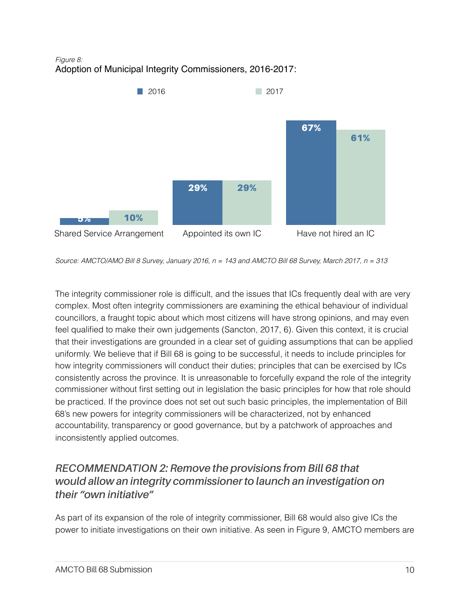*Figure 8:*  Adoption of Municipal Integrity Commissioners, 2016-2017:



*Source: AMCTO/AMO Bill 8 Survey, January 2016, n = 143 and AMCTO Bill 68 Survey, March 2017, n = 313* 

The integrity commissioner role is difficult, and the issues that ICs frequently deal with are very complex. Most often integrity commissioners are examining the ethical behaviour of individual councillors, a fraught topic about which most citizens will have strong opinions, and may even feel qualified to make their own judgements (Sancton, 2017, 6). Given this context, it is crucial that their investigations are grounded in a clear set of guiding assumptions that can be applied uniformly. We believe that if Bill 68 is going to be successful, it needs to include principles for how integrity commissioners will conduct their duties; principles that can be exercised by ICs consistently across the province. It is unreasonable to forcefully expand the role of the integrity commissioner without first setting out in legislation the basic principles for how that role should be practiced. If the province does not set out such basic principles, the implementation of Bill 68's new powers for integrity commissioners will be characterized, not by enhanced accountability, transparency or good governance, but by a patchwork of approaches and inconsistently applied outcomes.

### *RECOMMENDATION 2: Remove the provisions from Bill 68 that would allow an integrity commissioner to launch an investigation on their "own initiative"*

As part of its expansion of the role of integrity commissioner, Bill 68 would also give ICs the power to initiate investigations on their own initiative. As seen in Figure 9, AMCTO members are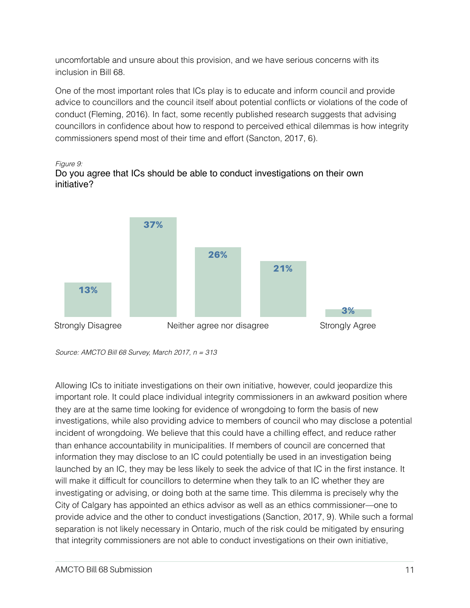uncomfortable and unsure about this provision, and we have serious concerns with its inclusion in Bill 68.

One of the most important roles that ICs play is to educate and inform council and provide advice to councillors and the council itself about potential conflicts or violations of the code of conduct (Fleming, 2016). In fact, some recently published research suggests that advising councillors in confidence about how to respond to perceived ethical dilemmas is how integrity commissioners spend most of their time and effort (Sancton, 2017, 6).







*Source: AMCTO Bill 68 Survey, March 2017, n = 313*

Allowing ICs to initiate investigations on their own initiative, however, could jeopardize this important role. It could place individual integrity commissioners in an awkward position where they are at the same time looking for evidence of wrongdoing to form the basis of new investigations, while also providing advice to members of council who may disclose a potential incident of wrongdoing. We believe that this could have a chilling effect, and reduce rather than enhance accountability in municipalities. If members of council are concerned that information they may disclose to an IC could potentially be used in an investigation being launched by an IC, they may be less likely to seek the advice of that IC in the first instance. It will make it difficult for councillors to determine when they talk to an IC whether they are investigating or advising, or doing both at the same time. This dilemma is precisely why the City of Calgary has appointed an ethics advisor as well as an ethics commissioner—one to provide advice and the other to conduct investigations (Sanction, 2017, 9). While such a formal separation is not likely necessary in Ontario, much of the risk could be mitigated by ensuring that integrity commissioners are not able to conduct investigations on their own initiative,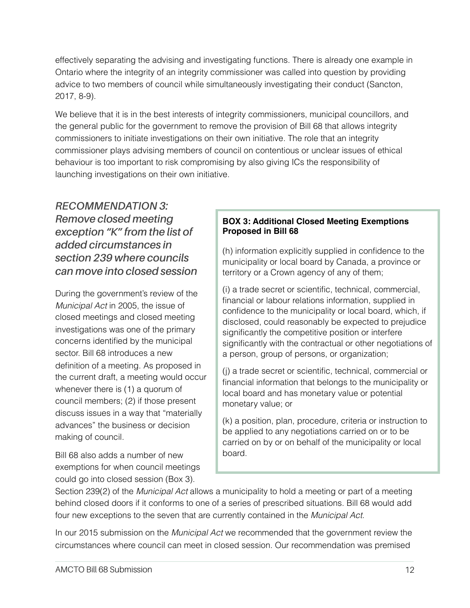effectively separating the advising and investigating functions. There is already one example in Ontario where the integrity of an integrity commissioner was called into question by providing advice to two members of council while simultaneously investigating their conduct (Sancton, 2017, 8-9).

We believe that it is in the best interests of integrity commissioners, municipal councillors, and the general public for the government to remove the provision of Bill 68 that allows integrity commissioners to initiate investigations on their own initiative. The role that an integrity commissioner plays advising members of council on contentious or unclear issues of ethical behaviour is too important to risk compromising by also giving ICs the responsibility of launching investigations on their own initiative.

### *RECOMMENDATION 3: Remove closed meeting exception "K" from the list of added circumstances in section 239 where councils can move into closed session*

During the government's review of the *Municipal Act* in 2005, the issue of closed meetings and closed meeting investigations was one of the primary concerns identified by the municipal sector. Bill 68 introduces a new definition of a meeting. As proposed in the current draft, a meeting would occur whenever there is (1) a quorum of council members; (2) if those present discuss issues in a way that "materially advances" the business or decision making of council.

Bill 68 also adds a number of new exemptions for when council meetings could go into closed session (Box 3).

#### **BOX 3: Additional Closed Meeting Exemptions Proposed in Bill 68**

(h) information explicitly supplied in confidence to the municipality or local board by Canada, a province or territory or a Crown agency of any of them;

(i) a trade secret or scientific, technical, commercial, financial or labour relations information, supplied in confidence to the municipality or local board, which, if disclosed, could reasonably be expected to prejudice significantly the competitive position or interfere significantly with the contractual or other negotiations of a person, group of persons, or organization;

(j) a trade secret or scientific, technical, commercial or financial information that belongs to the municipality or local board and has monetary value or potential monetary value; or

(k) a position, plan, procedure, criteria or instruction to be applied to any negotiations carried on or to be carried on by or on behalf of the municipality or local board.

Section 239(2) of the *Municipal Act* allows a municipality to hold a meeting or part of a meeting behind closed doors if it conforms to one of a series of prescribed situations. Bill 68 would add four new exceptions to the seven that are currently contained in the *Municipal Act*.

In our 2015 submission on the *Municipal Act* we recommended that the government review the circumstances where council can meet in closed session. Our recommendation was premised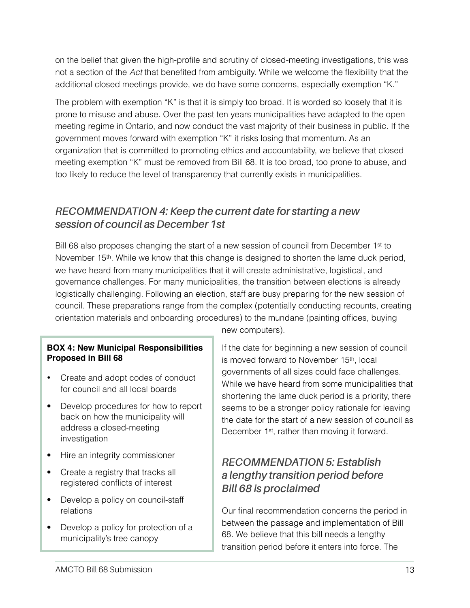on the belief that given the high-profile and scrutiny of closed-meeting investigations, this was not a section of the *Act* that benefited from ambiguity. While we welcome the flexibility that the additional closed meetings provide, we do have some concerns, especially exemption "K."

The problem with exemption "K" is that it is simply too broad. It is worded so loosely that it is prone to misuse and abuse. Over the past ten years municipalities have adapted to the open meeting regime in Ontario, and now conduct the vast majority of their business in public. If the government moves forward with exemption "K" it risks losing that momentum. As an organization that is committed to promoting ethics and accountability, we believe that closed meeting exemption "K" must be removed from Bill 68. It is too broad, too prone to abuse, and too likely to reduce the level of transparency that currently exists in municipalities.

### *RECOMMENDATION 4: Keep the current date for starting a new session of council as December 1st*

Bill 68 also proposes changing the start of a new session of council from December 1<sup>st</sup> to November  $15<sup>th</sup>$ . While we know that this change is designed to shorten the lame duck period, we have heard from many municipalities that it will create administrative, logistical, and governance challenges. For many municipalities, the transition between elections is already logistically challenging. Following an election, staff are busy preparing for the new session of council. These preparations range from the complex (potentially conducting recounts, creating orientation materials and onboarding procedures) to the mundane (painting offices, buying

#### **BOX 4: New Municipal Responsibilities Proposed in Bill 68**

- Create and adopt codes of conduct for council and all local boards
- Develop procedures for how to report back on how the municipality will address a closed-meeting investigation
- Hire an integrity commissioner
- Create a registry that tracks all registered conflicts of interest
- Develop a policy on council-staff relations
- Develop a policy for protection of a municipality's tree canopy

new computers).

If the date for beginning a new session of council is moved forward to November 15<sup>th</sup>, local governments of all sizes could face challenges. While we have heard from some municipalities that shortening the lame duck period is a priority, there seems to be a stronger policy rationale for leaving the date for the start of a new session of council as December 1<sup>st</sup>, rather than moving it forward.

### *RECOMMENDATION 5: Establish a lengthy transition period before Bill 68 is proclaimed*

Our final recommendation concerns the period in between the passage and implementation of Bill 68. We believe that this bill needs a lengthy transition period before it enters into force. The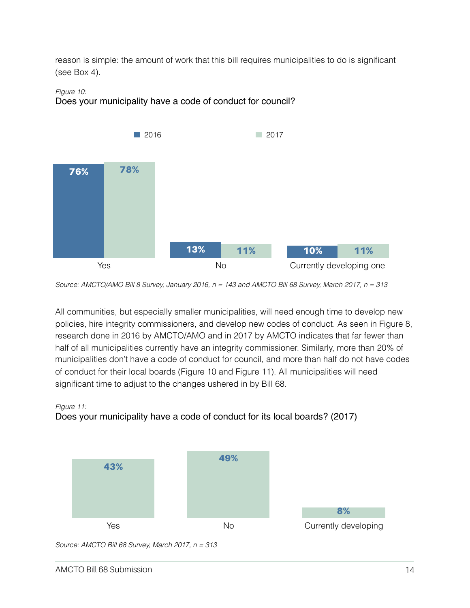reason is simple: the amount of work that this bill requires municipalities to do is significant (see Box 4).

#### *Figure 10:*





*Source: AMCTO/AMO Bill 8 Survey, January 2016, n = 143 and AMCTO Bill 68 Survey, March 2017, n = 313*

All communities, but especially smaller municipalities, will need enough time to develop new policies, hire integrity commissioners, and develop new codes of conduct. As seen in Figure 8, research done in 2016 by AMCTO/AMO and in 2017 by AMCTO indicates that far fewer than half of all municipalities currently have an integrity commissioner. Similarly, more than 20% of municipalities don't have a code of conduct for council, and more than half do not have codes of conduct for their local boards (Figure 10 and Figure 11). All municipalities will need significant time to adjust to the changes ushered in by Bill 68.

#### *Figure 11:*

### Does your municipality have a code of conduct for its local boards? (2017)



*Source: AMCTO Bill 68 Survey, March 2017, n = 313*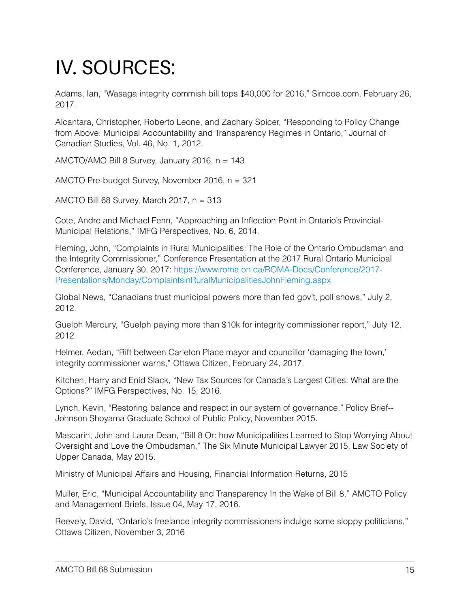## IV. SOURCES:

Adams, Ian, "Wasaga integrity commish bill tops \$40,000 for 2016," Simcoe.com, February 26, 2017.

Alcantara, Christopher, Roberto Leone, and Zachary Spicer, "Responding to Policy Change from Above: Municipal Accountability and Transparency Regimes in Ontario," Journal of Canadian Studies, Vol. 46, No. 1, 2012.

AMCTO/AMO Bill 8 Survey, January 2016, n = 143

AMCTO Pre-budget Survey, November 2016, n = 321

AMCTO Bill 68 Survey, March 2017, n = 313

Cote, Andre and Michael Fenn, "Approaching an Inflection Point in Ontario's Provincial-Municipal Relations," IMFG Perspectives, No. 6, 2014.

Fleming, John, "Complaints in Rural Municipalities: The Role of the Ontario Ombudsman and the Integrity Commissioner," Conference Presentation at the 2017 Rural Ontario Municipal [Conference, January 30, 2017: https://www.roma.on.ca/ROMA-Docs/Conference/2017-](https://www.roma.on.ca/ROMA-Docs/Conference/2017-Presentations/Monday/ComplaintsinRuralMunicipalitiesJohnFleming.aspx) [Presentations/Monday/ComplaintsinRuralMunicipalitiesJohnFleming.aspx](https://www.roma.on.ca/ROMA-Docs/Conference/2017-Presentations/Monday/ComplaintsinRuralMunicipalitiesJohnFleming.aspx)

Global News, "Canadians trust municipal powers more than fed gov't, poll shows," July 2, 2012.

Guelph Mercury, "Guelph paying more than \$10k for integrity commissioner report," July 12, 2012.

Helmer, Aedan, "Rift between Carleton Place mayor and councillor 'damaging the town,' integrity commissioner warns," Ottawa Citizen, February 24, 2017.

Kitchen, Harry and Enid Slack, "New Tax Sources for Canada's Largest Cities: What are the Options?" IMFG Perspectives, No. 15, 2016.

Lynch, Kevin, "Restoring balance and respect in our system of governance," Policy Brief-- Johnson Shoyama Graduate School of Public Policy, November 2015.

Mascarin, John and Laura Dean, "Bill 8 Or: how Municipalities Learned to Stop Worrying About Oversight and Love the Ombudsman," The Six Minute Municipal Lawyer 2015, Law Society of Upper Canada, May 2015.

Ministry of Municipal Affairs and Housing, Financial Information Returns, 2015

Muller, Eric, "Municipal Accountability and Transparency In the Wake of Bill 8," AMCTO Policy and Management Briefs, Issue 04, May 17, 2016.

Reevely, David, "Ontario's freelance integrity commissioners indulge some sloppy politicians," Ottawa Citizen, November 3, 2016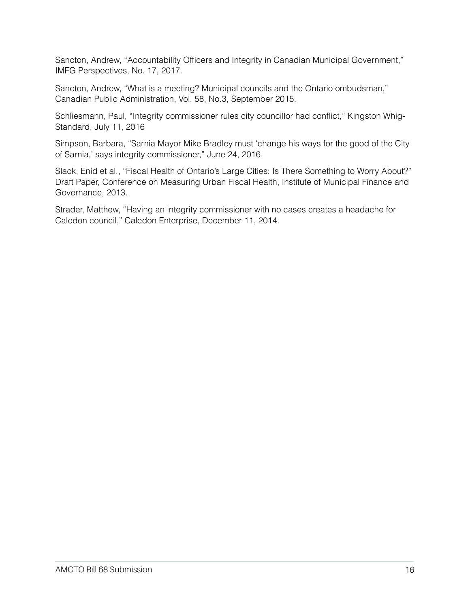Sancton, Andrew, "Accountability Officers and Integrity in Canadian Municipal Government," IMFG Perspectives, No. 17, 2017.

Sancton, Andrew, "What is a meeting? Municipal councils and the Ontario ombudsman," Canadian Public Administration, Vol. 58, No.3, September 2015.

Schliesmann, Paul, "Integrity commissioner rules city councillor had conflict," Kingston Whig-Standard, July 11, 2016

Simpson, Barbara, "Sarnia Mayor Mike Bradley must 'change his ways for the good of the City of Sarnia,' says integrity commissioner," June 24, 2016

Slack, Enid et al., "Fiscal Health of Ontario's Large Cities: Is There Something to Worry About?" Draft Paper, Conference on Measuring Urban Fiscal Health, Institute of Municipal Finance and Governance, 2013.

Strader, Matthew, "Having an integrity commissioner with no cases creates a headache for Caledon council," Caledon Enterprise, December 11, 2014.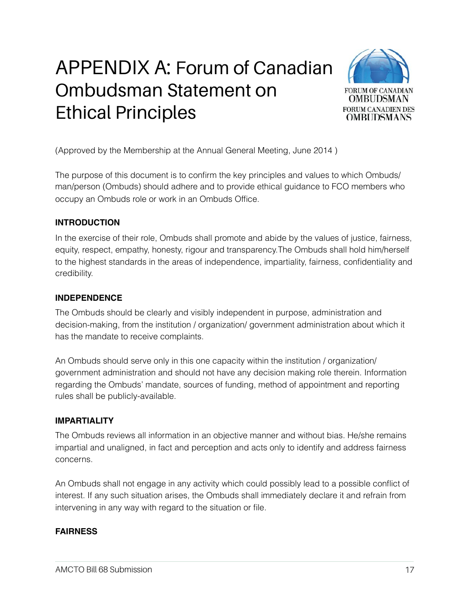## APPENDIX A: Forum of Canadian Ombudsman Statement on Ethical Principles



(Approved by the Membership at the Annual General Meeting, June 2014 )

The purpose of this document is to confirm the key principles and values to which Ombuds/ man/person (Ombuds) should adhere and to provide ethical guidance to FCO members who occupy an Ombuds role or work in an Ombuds Office.

#### **INTRODUCTION**

In the exercise of their role, Ombuds shall promote and abide by the values of justice, fairness, equity, respect, empathy, honesty, rigour and transparency.The Ombuds shall hold him/herself to the highest standards in the areas of independence, impartiality, fairness, confidentiality and credibility.

#### **INDEPENDENCE**

The Ombuds should be clearly and visibly independent in purpose, administration and decision-making, from the institution / organization/ government administration about which it has the mandate to receive complaints.

An Ombuds should serve only in this one capacity within the institution / organization/ government administration and should not have any decision making role therein. Information regarding the Ombuds' mandate, sources of funding, method of appointment and reporting rules shall be publicly-available.

#### **IMPARTIALITY**

The Ombuds reviews all information in an objective manner and without bias. He/she remains impartial and unaligned, in fact and perception and acts only to identify and address fairness concerns.

An Ombuds shall not engage in any activity which could possibly lead to a possible conflict of interest. If any such situation arises, the Ombuds shall immediately declare it and refrain from intervening in any way with regard to the situation or file.

#### **FAIRNESS**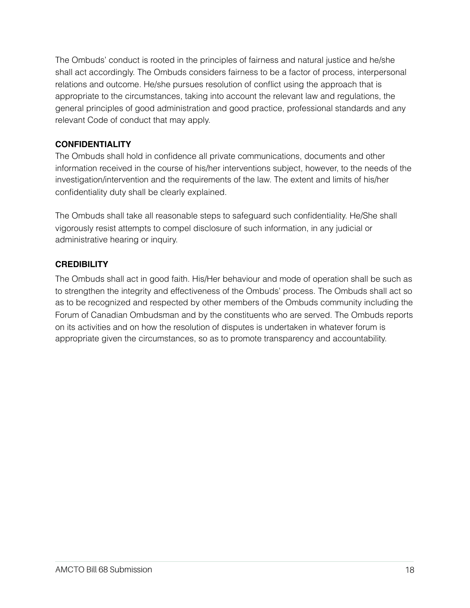The Ombuds' conduct is rooted in the principles of fairness and natural justice and he/she shall act accordingly. The Ombuds considers fairness to be a factor of process, interpersonal relations and outcome. He/she pursues resolution of conflict using the approach that is appropriate to the circumstances, taking into account the relevant law and regulations, the general principles of good administration and good practice, professional standards and any relevant Code of conduct that may apply.

#### **CONFIDENTIALITY**

The Ombuds shall hold in confidence all private communications, documents and other information received in the course of his/her interventions subject, however, to the needs of the investigation/intervention and the requirements of the law. The extent and limits of his/her confidentiality duty shall be clearly explained.

The Ombuds shall take all reasonable steps to safeguard such confidentiality. He/She shall vigorously resist attempts to compel disclosure of such information, in any judicial or administrative hearing or inquiry.

#### **CREDIBILITY**

The Ombuds shall act in good faith. His/Her behaviour and mode of operation shall be such as to strengthen the integrity and effectiveness of the Ombuds' process. The Ombuds shall act so as to be recognized and respected by other members of the Ombuds community including the Forum of Canadian Ombudsman and by the constituents who are served. The Ombuds reports on its activities and on how the resolution of disputes is undertaken in whatever forum is appropriate given the circumstances, so as to promote transparency and accountability.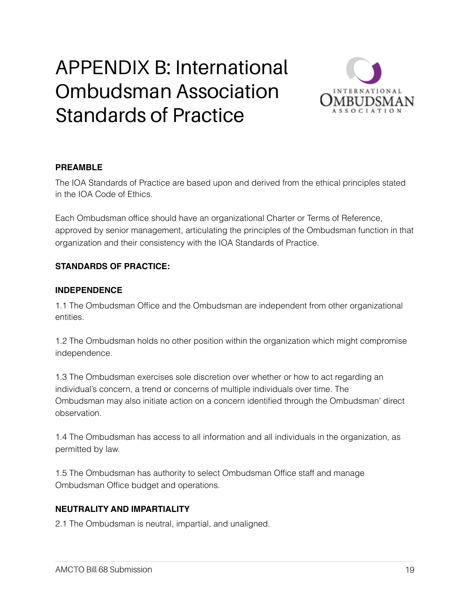## APPENDIX B: International Ombudsman Association Standards of Practice



#### **PREAMBLE**

The IOA Standards of Practice are based upon and derived from the ethical principles stated in the IOA Code of Ethics.

Each Ombudsman office should have an organizational Charter or Terms of Reference, approved by senior management, articulating the principles of the Ombudsman function in that organization and their consistency with the IOA Standards of Practice.

#### **STANDARDS OF PRACTICE:**

#### **INDEPENDENCE**

1.1 The Ombudsman Office and the Ombudsman are independent from other organizational entities.

1.2 The Ombudsman holds no other position within the organization which might compromise independence.

1.3 The Ombudsman exercises sole discretion over whether or how to act regarding an individual's concern, a trend or concerns of multiple individuals over time. The Ombudsman may also initiate action on a concern identified through the Ombudsman' direct observation.

1.4 The Ombudsman has access to all information and all individuals in the organization, as permitted by law.

1.5 The Ombudsman has authority to select Ombudsman Office staff and manage Ombudsman Office budget and operations.

#### **NEUTRALITY AND IMPARTIALITY**

2.1 The Ombudsman is neutral, impartial, and unaligned.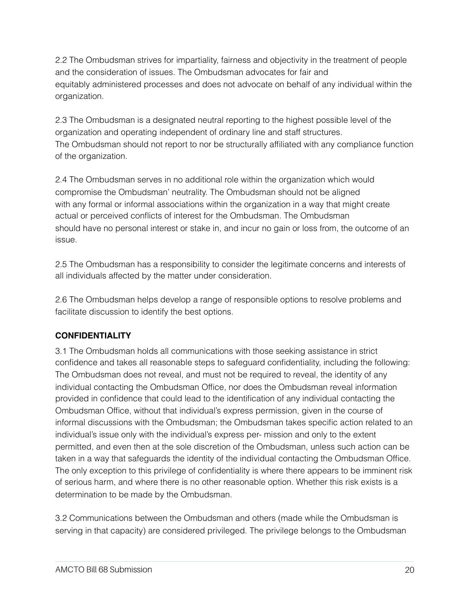2.2 The Ombudsman strives for impartiality, fairness and objectivity in the treatment of people and the consideration of issues. The Ombudsman advocates for fair and equitably administered processes and does not advocate on behalf of any individual within the organization.

2.3 The Ombudsman is a designated neutral reporting to the highest possible level of the organization and operating independent of ordinary line and staff structures. The Ombudsman should not report to nor be structurally affiliated with any compliance function of the organization.

2.4 The Ombudsman serves in no additional role within the organization which would compromise the Ombudsman' neutrality. The Ombudsman should not be aligned with any formal or informal associations within the organization in a way that might create actual or perceived conflicts of interest for the Ombudsman. The Ombudsman should have no personal interest or stake in, and incur no gain or loss from, the outcome of an issue.

2.5 The Ombudsman has a responsibility to consider the legitimate concerns and interests of all individuals affected by the matter under consideration.

2.6 The Ombudsman helps develop a range of responsible options to resolve problems and facilitate discussion to identify the best options.

#### **CONFIDENTIALITY**

3.1 The Ombudsman holds all communications with those seeking assistance in strict confidence and takes all reasonable steps to safeguard confidentiality, including the following: The Ombudsman does not reveal, and must not be required to reveal, the identity of any individual contacting the Ombudsman Office, nor does the Ombudsman reveal information provided in confidence that could lead to the identification of any individual contacting the Ombudsman Office, without that individual's express permission, given in the course of informal discussions with the Ombudsman; the Ombudsman takes specific action related to an individual's issue only with the individual's express per- mission and only to the extent permitted, and even then at the sole discretion of the Ombudsman, unless such action can be taken in a way that safeguards the identity of the individual contacting the Ombudsman Office. The only exception to this privilege of confidentiality is where there appears to be imminent risk of serious harm, and where there is no other reasonable option. Whether this risk exists is a determination to be made by the Ombudsman.

3.2 Communications between the Ombudsman and others (made while the Ombudsman is serving in that capacity) are considered privileged. The privilege belongs to the Ombudsman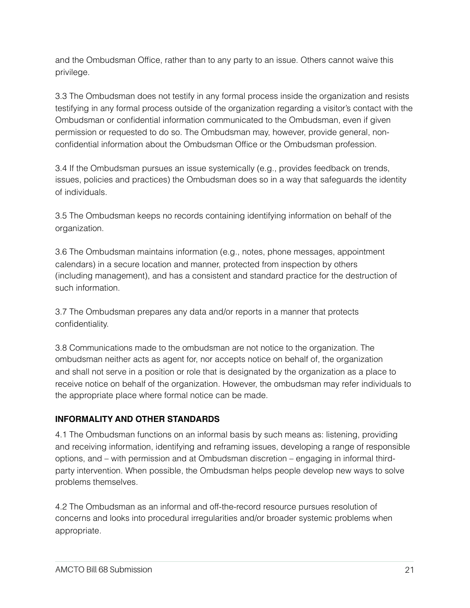and the Ombudsman Office, rather than to any party to an issue. Others cannot waive this privilege.

3.3 The Ombudsman does not testify in any formal process inside the organization and resists testifying in any formal process outside of the organization regarding a visitor's contact with the Ombudsman or confidential information communicated to the Ombudsman, even if given permission or requested to do so. The Ombudsman may, however, provide general, nonconfidential information about the Ombudsman Office or the Ombudsman profession.

3.4 If the Ombudsman pursues an issue systemically (e.g., provides feedback on trends, issues, policies and practices) the Ombudsman does so in a way that safeguards the identity of individuals.

3.5 The Ombudsman keeps no records containing identifying information on behalf of the organization.

3.6 The Ombudsman maintains information (e.g., notes, phone messages, appointment calendars) in a secure location and manner, protected from inspection by others (including management), and has a consistent and standard practice for the destruction of such information.

3.7 The Ombudsman prepares any data and/or reports in a manner that protects confidentiality.

3.8 Communications made to the ombudsman are not notice to the organization. The ombudsman neither acts as agent for, nor accepts notice on behalf of, the organization and shall not serve in a position or role that is designated by the organization as a place to receive notice on behalf of the organization. However, the ombudsman may refer individuals to the appropriate place where formal notice can be made.

#### **INFORMALITY AND OTHER STANDARDS**

4.1 The Ombudsman functions on an informal basis by such means as: listening, providing and receiving information, identifying and reframing issues, developing a range of responsible options, and – with permission and at Ombudsman discretion – engaging in informal thirdparty intervention. When possible, the Ombudsman helps people develop new ways to solve problems themselves.

4.2 The Ombudsman as an informal and off-the-record resource pursues resolution of concerns and looks into procedural irregularities and/or broader systemic problems when appropriate.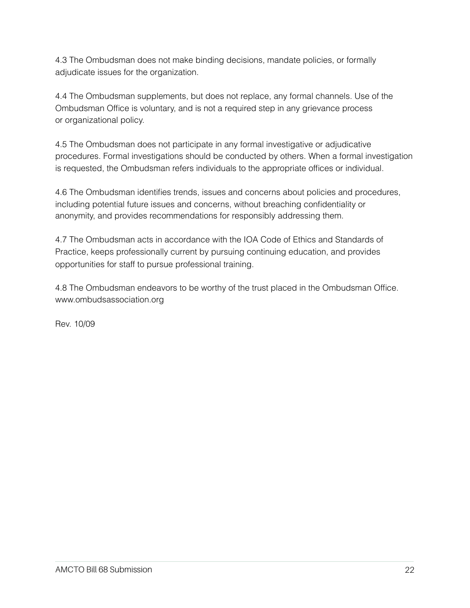4.3 The Ombudsman does not make binding decisions, mandate policies, or formally adjudicate issues for the organization.

4.4 The Ombudsman supplements, but does not replace, any formal channels. Use of the Ombudsman Office is voluntary, and is not a required step in any grievance process or organizational policy.

4.5 The Ombudsman does not participate in any formal investigative or adjudicative procedures. Formal investigations should be conducted by others. When a formal investigation is requested, the Ombudsman refers individuals to the appropriate offices or individual.

4.6 The Ombudsman identifies trends, issues and concerns about policies and procedures, including potential future issues and concerns, without breaching confidentiality or anonymity, and provides recommendations for responsibly addressing them.

4.7 The Ombudsman acts in accordance with the IOA Code of Ethics and Standards of Practice, keeps professionally current by pursuing continuing education, and provides opportunities for staff to pursue professional training.

4.8 The Ombudsman endeavors to be worthy of the trust placed in the Ombudsman Office. www.ombudsassociation.org

Rev. 10/09